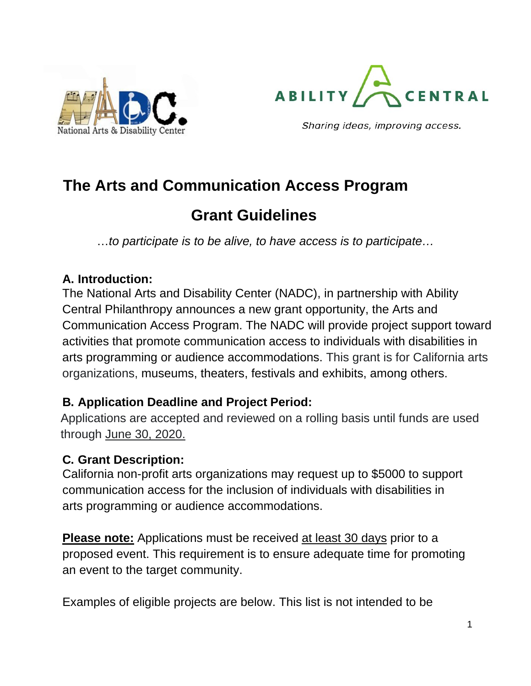



Sharing ideas, improving access.

# **The Arts and Communication Access Program**

# **Grant Guidelines**

…*to participate is to be alive, to have access is to participate…*

#### **A. Introduction:**

The National Arts and Disability Center (NADC), in partnership with Ability Central Philanthropy announces a new grant opportunity, the Arts and Communication Access Program. The NADC will provide project support toward activities that promote communication access to individuals with disabilities in arts programming or audience accommodations. This grant is for California arts organizations, museums, theaters, festivals and exhibits, among others.

### **B. Application Deadline and Project Period:**

Applications are accepted and reviewed on a rolling basis until funds are used through June 30, 2020.

#### **C. Grant Description:**

California non-profit arts organizations may request up to \$5000 to support communication access for the inclusion of individuals with disabilities in arts programming or audience accommodations.

**Please note:** Applications must be received at least 30 days prior to a proposed event. This requirement is to ensure adequate time for promoting an event to the target community.

Examples of eligible projects are below. This list is not intended to be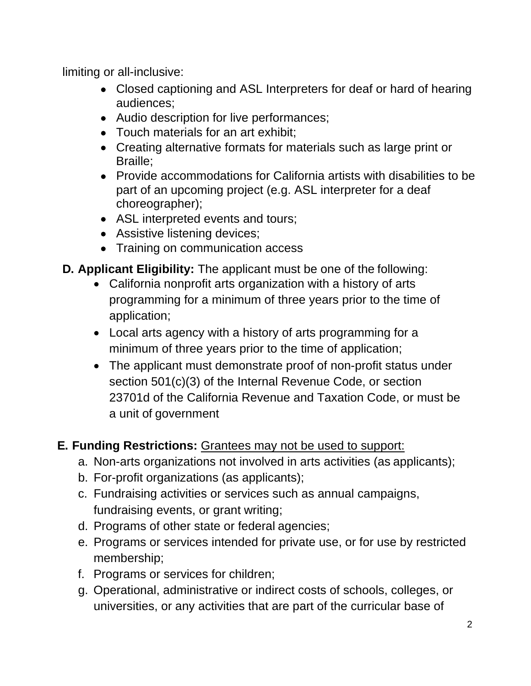limiting or all-inclusive:

- Closed captioning and ASL Interpreters for deaf or hard of hearing audiences;
- Audio description for live performances;
- Touch materials for an art exhibit:
- Creating alternative formats for materials such as large print or Braille;
- Provide accommodations for California artists with disabilities to be part of an upcoming project (e.g. ASL interpreter for a deaf choreographer);
- ASL interpreted events and tours;
- Assistive listening devices;
- Training on communication access
- **D. Applicant Eligibility:** The applicant must be one of the following:
	- California nonprofit arts organization with a history of arts programming for a minimum of three years prior to the time of application;
	- Local arts agency with a history of arts programming for a minimum of three years prior to the time of application;
	- The applicant must demonstrate proof of non-profit status under section 501(c)(3) of the Internal Revenue Code, or section 23701d of the California Revenue and Taxation Code, or must be a unit of government

# **E. Funding Restrictions:** Grantees may not be used to support:

- a. Non-arts organizations not involved in arts activities (as applicants);
- b. For-profit organizations (as applicants);
- c. Fundraising activities or services such as annual campaigns, fundraising events, or grant writing;
- d. Programs of other state or federal agencies;
- e. Programs or services intended for private use, or for use by restricted membership;
- f. Programs or services for children;
- g. Operational, administrative or indirect costs of schools, colleges, or universities, or any activities that are part of the curricular base of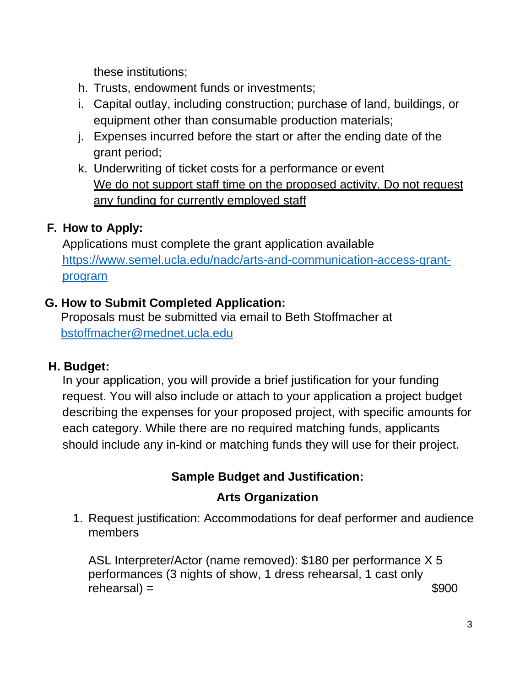these institutions;

- h. Trusts, endowment funds or investments;
- i. Capital outlay, including construction; purchase of land, buildings, or equipment other than consumable production materials;
- j. Expenses incurred before the start or after the ending date of the grant period;
- k. Underwriting of ticket costs for a performance or event We do not support staff time on the proposed activity. Do not request any funding for currently employed staff

# **F. How to Apply:**

Applications must complete the grant application available [https://www.semel.ucla.edu/nadc/arts-and-communication-access-grant](https://www.semel.ucla.edu/nadc/arts-and-communication-access-grant-program)[program](https://www.semel.ucla.edu/nadc/arts-and-communication-access-grant-program)

# **G. How to Submit Completed Application:**

Proposals must be submitted via email to Beth Stoffmacher at [bstoffmacher@mednet.ucla.edu](mailto:bstoffmacher@mednet.ucla.edu)

# **H. Budget:**

In your application, you will provide a brief justification for your funding request. You will also include or attach to your application a project budget describing the expenses for your proposed project, with specific amounts for each category. While there are no required matching funds, applicants should include any in-kind or matching funds they will use for their project.

# **Sample Budget and Justification:**

# **Arts Organization**

1. Request justification: Accommodations for deaf performer and audience members

ASL Interpreter/Actor (name removed): \$180 per performance X 5 performances (3 nights of show, 1 dress rehearsal, 1 cast only  $rehearsal$ ) =  $$900$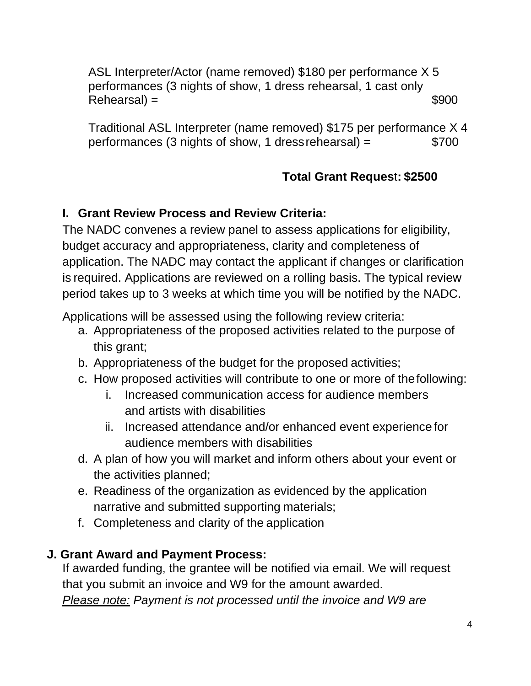ASL Interpreter/Actor (name removed) \$180 per performance X 5 performances (3 nights of show, 1 dress rehearsal, 1 cast only  $Rehearsal$ ) =  $$900$ 

Traditional ASL Interpreter (name removed) \$175 per performance X 4 performances (3 nights of show, 1 dress rehearsal) =  $$700$ 

# **Total Grant Reques**t**: \$2500**

### **I. Grant Review Process and Review Criteria:**

The NADC convenes a review panel to assess applications for eligibility, budget accuracy and appropriateness, clarity and completeness of application. The NADC may contact the applicant if changes or clarification is required. Applications are reviewed on a rolling basis. The typical review period takes up to 3 weeks at which time you will be notified by the NADC.

Applications will be assessed using the following review criteria:

- a. Appropriateness of the proposed activities related to the purpose of this grant;
- b. Appropriateness of the budget for the proposed activities;
- c. How proposed activities will contribute to one or more of thefollowing:
	- i. Increased communication access for audience members and artists with disabilities
	- ii. Increased attendance and/or enhanced event experience for audience members with disabilities
- d. A plan of how you will market and inform others about your event or the activities planned;
- e. Readiness of the organization as evidenced by the application narrative and submitted supporting materials;
- f. Completeness and clarity of the application

### **J. Grant Award and Payment Process:**

If awarded funding, the grantee will be notified via email. We will request that you submit an invoice and W9 for the amount awarded.

*Please note: Payment is not processed until the invoice and W9 are*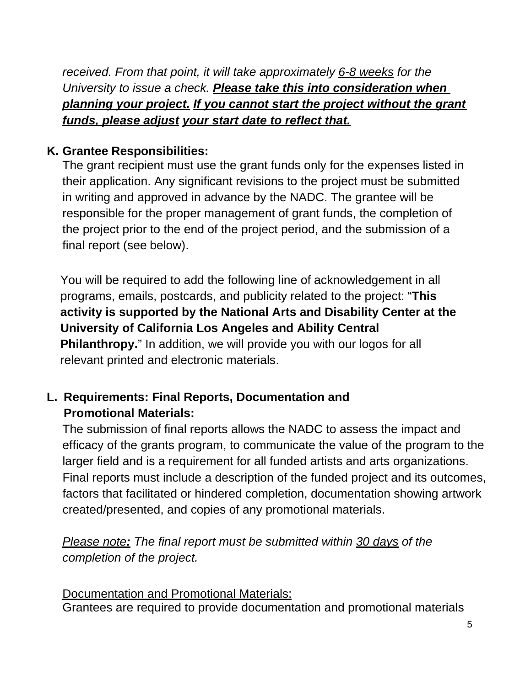*received. From that point, it will take approximately 6-8 weeks for the University to issue a check. Please take this into consideration when planning your project. If you cannot start the project without the grant funds, please adjust your start date to reflect that.*

#### **K. Grantee Responsibilities:**

The grant recipient must use the grant funds only for the expenses listed in their application. Any significant revisions to the project must be submitted in writing and approved in advance by the NADC. The grantee will be responsible for the proper management of grant funds, the completion of the project prior to the end of the project period, and the submission of a final report (see below).

You will be required to add the following line of acknowledgement in all programs, emails, postcards, and publicity related to the project: "**This activity is supported by the National Arts and Disability Center at the University of California Los Angeles and Ability Central Philanthropy.**" In addition, we will provide you with our logos for all relevant printed and electronic materials.

### **L. Requirements: Final Reports, Documentation and Promotional Materials:**

The submission of final reports allows the NADC to assess the impact and efficacy of the grants program, to communicate the value of the program to the larger field and is a requirement for all funded artists and arts organizations. Final reports must include a description of the funded project and its outcomes, factors that facilitated or hindered completion, documentation showing artwork created/presented, and copies of any promotional materials.

*Please note: The final report must be submitted within 30 days of the completion of the project.*

Documentation and Promotional Materials: Grantees are required to provide documentation and promotional materials